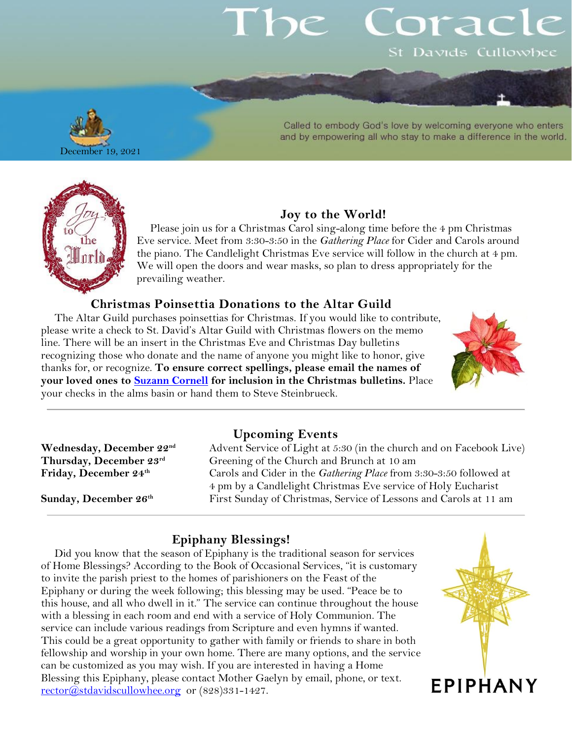# Coracl

St Davids Cullowhee



#### Called to embody God's love by welcoming everyone who enters and by empowering all who stay to make a difference in the world.



### **Joy to the World!**

Please join us for a Christmas Carol sing-along time before the 4 pm Christmas Eve service. Meet from 3:30-3:50 in the *Gathering Place* for Cider and Carols around the piano. The Candlelight Christmas Eve service will follow in the church at 4 pm. We will open the doors and wear masks, so plan to dress appropriately for the prevailing weather.

#### **Christmas Poinsettia Donations to the Altar Guild**

The Altar Guild purchases poinsettias for Christmas. If you would like to contribute, please write a check to St. David's Altar Guild with Christmas flowers on the memo line. There will be an insert in the Christmas Eve and Christmas Day bulletins recognizing those who donate and the name of anyone you might like to honor, give thanks for, or recognize. **To ensure correct spellings, please email the names of your loved ones to [Suzann Cornell](mailto:cornell.suzann@me.com) for inclusion in the Christmas bulletins.** Place your checks in the alms basin or hand them to Steve Steinbrueck.



#### **Upcoming Events**

**Wednesday, December 22<sup>nd</sup>** Advent Service of Light at 5:30 (in the church and on Facebook Live) **Thursday, December 23<sup>rd</sup>** Greening of the Church and Brunch at 10 am **Friday, December 24th** Carols and Cider in the *Gathering Place* from 3:30-3:50 followed at 4 pm by a Candlelight Christmas Eve service of Holy Eucharist **Sunday, December 26th** First Sunday of Christmas, Service of Lessons and Carols at 11 am

#### **Epiphany Blessings!**

Did you know that the season of Epiphany is the traditional season for services of Home Blessings? According to the Book of Occasional Services, "it is customary to invite the parish priest to the homes of parishioners on the Feast of the Epiphany or during the week following; this blessing may be used. "Peace be to this house, and all who dwell in it." The service can continue throughout the house with a blessing in each room and end with a service of Holy Communion. The service can include various readings from Scripture and even hymns if wanted. This could be a great opportunity to gather with family or friends to share in both fellowship and worship in your own home. There are many options, and the service can be customized as you may wish. If you are interested in having a Home Blessing this Epiphany, please contact Mother Gaelyn by email, phone, or text. [rector@stdavidscullowhee.org](mailto:rector@stdavidscullowhee.org) or (828)331-1427.

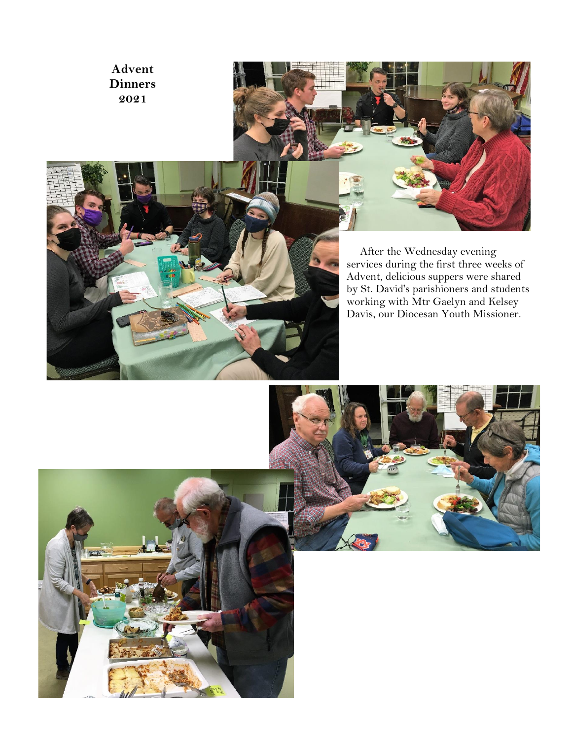**Advent Dinners 2021**







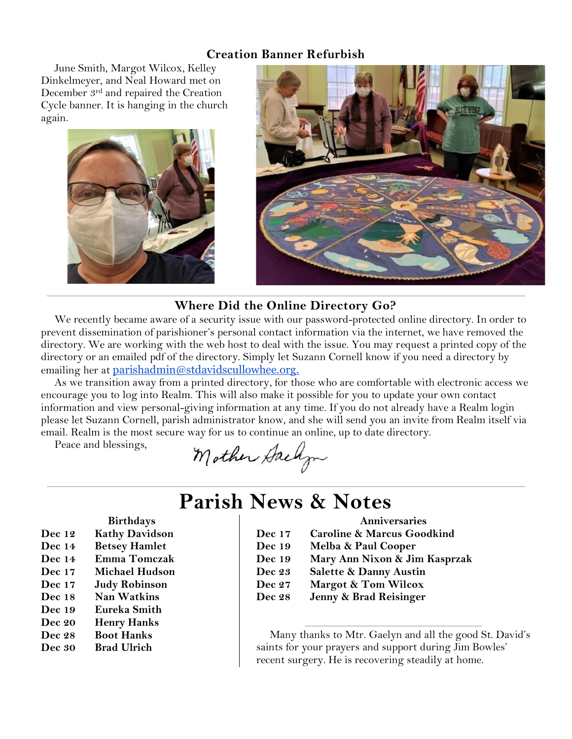#### **Creation Banner Refurbish**

June Smith, Margot Wilcox, Kelley Dinkelmeyer, and Neal Howard met on December 3rd and repaired the Creation Cycle banner. It is hanging in the church again.





#### **Where Did the Online Directory Go?**

We recently became aware of a security issue with our password-protected online directory. In order to prevent dissemination of parishioner's personal contact information via the internet, we have removed the directory. We are working with the web host to deal with the issue. You may request a printed copy of the directory or an emailed pdf of the directory. Simply let Suzann Cornell know if you need a directory by emailing her at [parishadmin@stdavidscullowhee.org.](mailto:parishadmin@stdavidscullowhee.org)

As we transition away from a printed directory, for those who are comfortable with electronic access we encourage you to log into Realm. This will also make it possible for you to update your own contact information and view personal-giving information at any time. If you do not already have a Realm login please let Suzann Cornell, parish administrator know, and she will send you an invite from Realm itself via email. Realm is the most secure way for us to continue an online, up to date directory.

Peace and blessings,

Mother Gaelyn

#### **Birthdays Dec 12 Kathy Davidson Dec 14 Betsey Hamlet Dec 14 Emma Tomczak Dec 17 Michael Hudson Dec 17 Judy Robinson Dec 18 Nan Watkins Dec 19 Eureka Smith Dec 20 Henry Hanks Dec 28 Boot Hanks Dec 30 Brad Ulrich**

# **Parish News & Notes**

#### **Anniversaries**

- **Dec 17 Caroline & Marcus Goodkind**
- **Dec 19 Melba & Paul Cooper**
- **Dec 19 Mary Ann Nixon & Jim Kasprzak**
- **Dec 23 Salette & Danny Austin**
- **Dec 27 Margot & Tom Wilcox**
- **Dec 28 Jenny & Brad Reisinger**

Many thanks to Mtr. Gaelyn and all the good St. David's saints for your prayers and support during Jim Bowles' recent surgery. He is recovering steadily at home.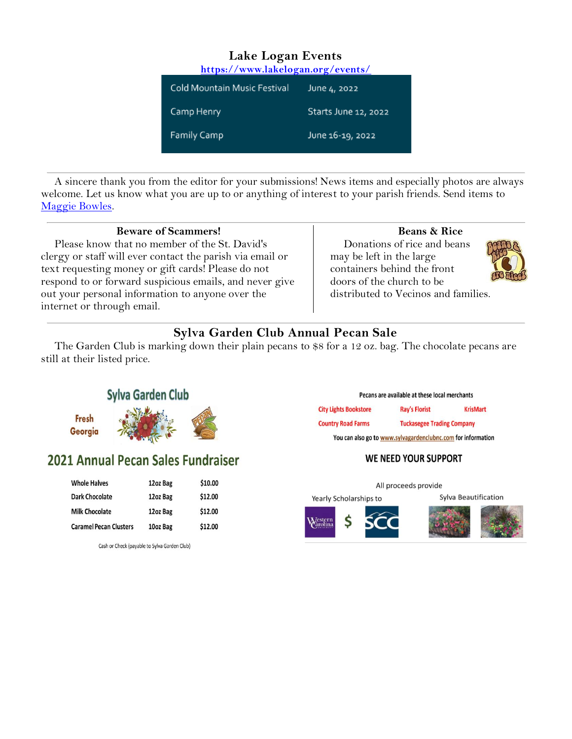#### **Lake Logan Events <https://www.lakelogan.org/events/>**

| <b>Cold Mountain Music Festival</b> | June 4, 2022         |
|-------------------------------------|----------------------|
| Camp Henry                          | Starts June 12, 2022 |
| Family Camp                         | June 16-19, 2022     |

A sincere thank you from the editor for your submissions! News items and especially photos are always welcome. Let us know what you are up to or anything of interest to your parish friends. Send items to [Maggie Bowles.](mailto:magbowles@gmail.com)

| Please know that no member of the St. David's             | Donations of rice       |
|-----------------------------------------------------------|-------------------------|
| clergy or staff will ever contact the parish via email or | may be left in the larg |
| text requesting money or gift cards! Please do not        | containers behind the   |
| respond to or forward suspicious emails, and never give   | doors of the church to  |
| out your personal information to anyone over the          | distributed to Vecino   |
| internet or through email.                                |                         |

#### **Beans & Rice**

and beans may be left in the large e front o be s and families.



## **Sylva Garden Club Annual Pecan Sale**

The Garden Club is marking down their plain pecans to \$8 for a 12 oz. bag. The chocolate pecans are still at their listed price.



# 2021 Annual Pecan Sales Fundraiser

| <b>Whole Halves</b>           | 12oz Bag | \$10.00 |
|-------------------------------|----------|---------|
| <b>Dark Chocolate</b>         | 12oz Bag | \$12.00 |
| <b>Milk Chocolate</b>         | 12oz Bag | \$12.00 |
| <b>Caramel Pecan Clusters</b> | 10oz Bag | \$12.00 |

Cash or Check (payable to Sylva Garden Club)

#### Pecans are available at these local merchants

| <b>City Lights Bookstore</b> | <b>Ray's Florist</b>                                         | <b>KrisMart</b> |
|------------------------------|--------------------------------------------------------------|-----------------|
| <b>Country Road Farms</b>    | <b>Tuckasegee Trading Company</b>                            |                 |
|                              | You can also go to www.sylvagardenclubnc.com for information |                 |

#### WE NEED YOUR SUPPORT